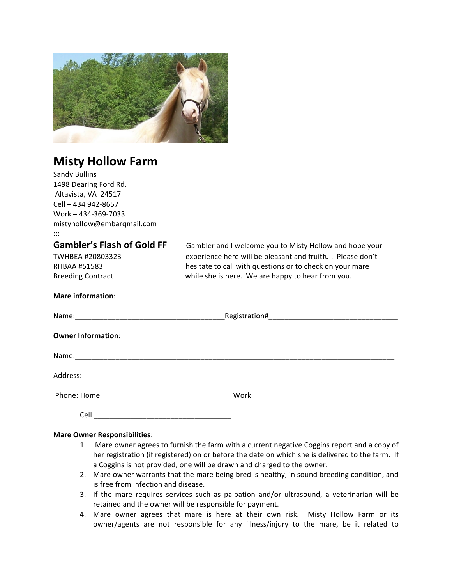

# **Misty Hollow Farm**

| <b>Sandy Bullins</b>              |                                                             |
|-----------------------------------|-------------------------------------------------------------|
| 1498 Dearing Ford Rd.             |                                                             |
| Altavista, VA 24517               |                                                             |
| Cell - 434 942-8657               |                                                             |
| Work - 434-369-7033               |                                                             |
| mistyhollow@embarqmail.com        |                                                             |
| $\cdots$                          |                                                             |
| <b>Gambler's Flash of Gold FF</b> | Gambler and I welcome you to Misty Hollow and hope your     |
| TWHBEA #20803323                  | experience here will be pleasant and fruitful. Please don't |
| <b>RHBAA #51583</b>               | hesitate to call with questions or to check on your mare    |
| <b>Breeding Contract</b>          | while she is here. We are happy to hear from you.           |
| <b>Mare information:</b>          |                                                             |
|                                   |                                                             |
| <b>Owner Information:</b>         |                                                             |
|                                   |                                                             |
|                                   |                                                             |
|                                   |                                                             |
|                                   |                                                             |
| Cell                              |                                                             |

# **Mare Owner Responsibilities**:

- 1. Mare owner agrees to furnish the farm with a current negative Coggins report and a copy of her registration (if registered) on or before the date on which she is delivered to the farm. If a Coggins is not provided, one will be drawn and charged to the owner.
- 2. Mare owner warrants that the mare being bred is healthy, in sound breeding condition, and is free from infection and disease.
- 3. If the mare requires services such as palpation and/or ultrasound, a veterinarian will be retained and the owner will be responsible for payment.
- 4. Mare owner agrees that mare is here at their own risk. Misty Hollow Farm or its owner/agents are not responsible for any illness/injury to the mare, be it related to